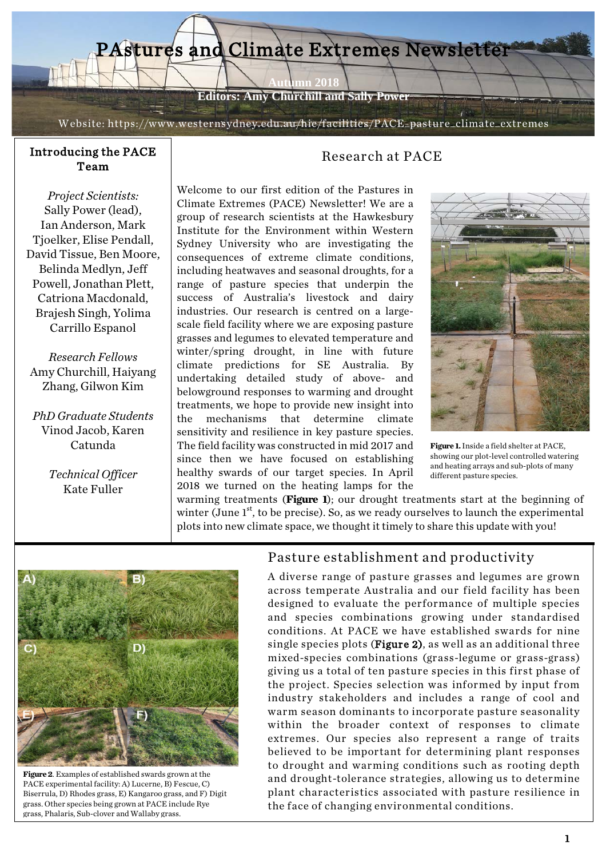

**Editors: Amy Churchill and Sally Power**

Website: https://www.westernsydney.edu.au/hie/facilities/PACE\_pasture\_climate\_extremes

# Introducing the PACE

*Project Scientists:* Sally Power (lead), Ian Anderson, Mark Tjoelker, Elise Pendall, David Tissue, Ben Moore, Belinda Medlyn, Jeff Powell, Jonathan Plett, Catriona Macdonald, Brajesh Singh, Yolima Carrillo Espanol

*Research Fellows* Amy Churchill, Haiyang Zhang, Gilwon Kim

*PhD Graduate Students* Vinod Jacob, Karen Catunda

> *Technical Officer* Kate Fuller

## cing the PACE<br>Team Research at PACE

Welcome to our first edition of the Pastures in Climate Extremes (PACE) Newsletter! We are a group of research scientists at the Hawkesbury Institute for the Environment within Western Sydney University who are investigating the consequences of extreme climate conditions, including heatwaves and seasonal droughts, for a range of pasture species that underpin the success of Australia's livestock and dairy industries. Our research is centred on a largescale field facility where we are exposing pasture grasses and legumes to elevated temperature and winter/spring drought, in line with future climate predictions for SE Australia. By undertaking detailed study of above- and belowground responses to warming and drought treatments, we hope to provide new insight into the mechanisms that determine climate sensitivity and resilience in key pasture species. The field facility was constructed in mid 2017 and since then we have focused on establishing healthy swards of our target species. In April 2018 we turned on the heating lamps for the



**Figure 1.** Inside a field shelter at PACE, showing our plot-level controlled watering and heating arrays and sub-plots of many different pasture species.

warming treatments (**Figure 1**); our drought treatments start at the beginning of winter (June  $1<sup>st</sup>$ , to be precise). So, as we ready ourselves to launch the experimental plots into new climate space, we thought it timely to share this update with you!



**Figure 2**. Examples of established swards grown at the PACE experimental facility: A) Lucerne, B) Fescue, C) Biserrula, D) Rhodes grass, E) Kangaroo grass, and F) Digit grass. Other species being grown at PACE include Rye grass, Phalaris, Sub-clover and Wallaby grass.

#### Pasture establishment and productivity

A diverse range of pasture grasses and legumes are grown across temperate Australia and our field facility has been designed to evaluate the performance of multiple species and species combinations growing under standardised conditions. At PACE we have established swards for nine single species plots (Figure 2), as well as an additional three mixed-species combinations (grass-legume or grass-grass) giving us a total of ten pasture species in this first phase of the project. Species selection was informed by input from industry stakeholders and includes a range of cool and warm season dominants to incorporate pasture seasonality within the broader context of responses to climate extremes. Our species also represent a range of traits believed to be important for determining plant responses to drought and warming conditions such as rooting depth and drought-tolerance strategies, allowing us to determine plant characteristics associated with pasture resilience in the face of changing environmental conditions.